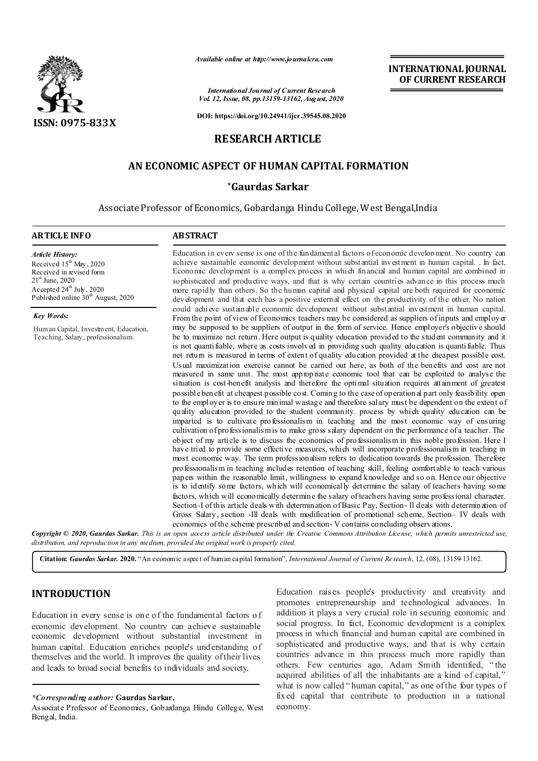

*Available online at http://www.journalcra.com*

*International Journal of Current Research Vol. 12, Issue, 08, pp.13159-13162, August, 2020*

**DOI: https://doi.org/10.24941/ijcr.39545.08.2020**

# **RESEARCH ARTICLE**

# **AN ECONOMIC ASPECT OF HUMAN CAPITAL FORMATION**

## **\*Gaurdas Sarkar**

Associate Professor of Economics, Gobardanga Hindu College, West Bengal,India

### **ARTICLE INFO ABSTRACT**

*Article History:* Received  $15^{th}$  May, 2020 Received in revised form 21<sup>st</sup> June, 2020 Accepted  $24^{\text{th}}$  July, 2020 Published online  $30<sup>th</sup>$  August, 2020

*Key Words:*

Human Capital, Investment, Education, Teaching, Salary, professionalism.

Education in every sense is one of the fundamental factors of economic development. No country can achieve sustainable economic development without substantial investment in human capital. . In fact, Economic development is a complex process in which financial and human capital are combined in sophisticated and productive ways, and that is why certain countries advance in this process much more rapidly than others. So the human capital and physical capital are both required for economic development and that each has a positive external effect on the productivity of the other. No nation could achieve sustainable economic development without substantial investment in human capital. From the point of view of Economics teachers may be considered as suppliers of inputs and employer may be supposed to be suppliers of output in the form of service. Hence employer's objective should be to maximize net return. Here output is quality education provided to the student community and it is not quantifiable, where as costs involved in providing such quality education is quantifiable. Thus net return is measured in terms of extent of quality education provided at the cheapest possible cost. Usual maximization exercise cannot be carried out here, as both of the benefits and cost are not measured in same unit. The most appropriate economic tool that can be exploited to analyse the situation is cost-benefit analysis and therefore the optimal situation requires attainment of greatest possible benefit at cheapest possible cost. Coming to the case of operational part only feasibility open to the employer is to ensure minimal wastage and therefore salary must be dependent on the extent of quality education provided to the student community. process by which quality education can be imparted is to cultivate professionalism in teaching and the most economic way of ensuring cultivation of professionalism is to make gross salary dependent on the performance of a teacher. The object of my article is to discuss the economics of professionalism in this noble profession. Here I have tried to provide some effective measures, which will incorporate professionalism in teaching in most economic way. The term professionalism refers to dedication towards the profession. Therefore professionalism in teaching includes retention of teaching skill, feeling comfortable to teach various papers within the reasonable limit, willingness to expand knowledge and so on. Hence our objective is to identify some factors, which will economically determine the salary of teachers having some factors, which will economically determine the salary of teachers having some professional character. Section-I of this article deals with determination of Basic Pay, Section- Il deals with determination of Gross Salary, section -Ill deals with modification of promotional scheme, Section– IV deals with economics of the scheme prescribed and section- V contains concluding observations.

**INTERNATIONAL JOURNAL OF CURRENT RESEARCH**

Copyright © 2020, Gaurdas Sarkar. This is an open access article distributed under the Creative Commons Attribution License, which permits unrestricted use, *distribution, and reproduction in any medium, provided the original work is properly cited.*

**Citation:** *Gaurdas Sarkar.* **2020.** "An economic aspect of human capital formation", *International Journal of Current Research*, 12, (08), 13159-13162.

## **INTRODUCTION**

Education in every sense is one of the fundamental factors o f economic development. No country can achieve sustainable economic development without substantial investment in human capital. Education enriches people's understanding of themselves and the world. It improves the quality of their lives and leads to broad social benefits to individuals and society.

Education rais es people's productivity and creativity and promotes entrepreneurship and technological advances. In addition it plays a very crucial role in securing economic and social progress. In fact, Economic development is a complex process in which financial and human capital are combined in sophisticated and productive ways, and that is why certain countries advance in this process much more rapidly than others. Few centuries ago, Adam Smith identified, " the acquired abilities of all the inhabitants are a kind of capital," what is now called "human capital," as one of the four types of fixed capital that contribute to production in a national economy.

*<sup>\*</sup>Corresponding author:* **Gaurdas Sarkar,**

Associate Professor of Economics, Gobardanga Hindu College, West Bengal, India.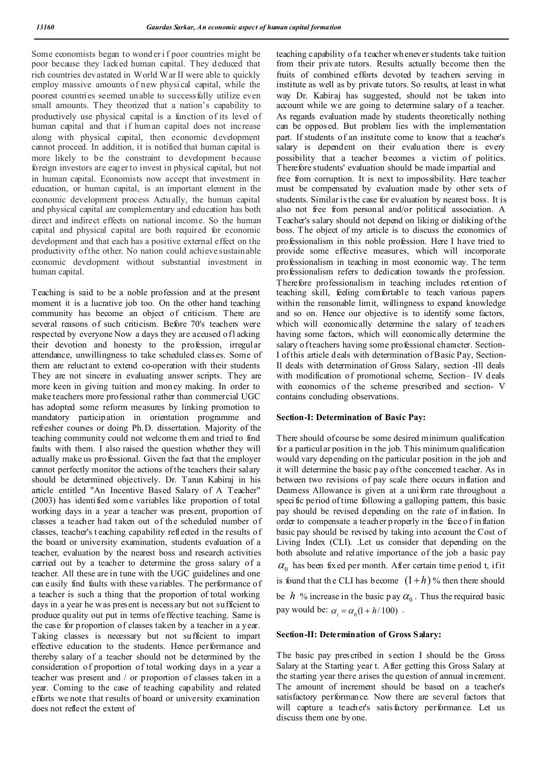Some economists began to wond er i f poor countries might be poor because they lacked human capital. They deduced that rich countries devastated in World War II were able to quickly employ massive amounts of new physi cal capital, while the poorest countries seemed unable to successfully utilize even small amounts. They theorized that a nation's capability to productively use physical capital is a function of its level of human capital and that if human capital does not increase along with physical capital, then economic development cannot proceed. In addition, it is notified that human capital is more likely to be the constraint to development because foreign investors are eager to invest in physical capital, but not in human capital. Economists now accept that investment in education, or human capital, is an important element in the economic development process Actually, the human capital and physical capital are complementary and education has both direct and indirect effects on national income. So the human capital and physical capital are both required for economic development and that each has a positive external effect on the productivity of the other. No nation could achieve sustainable economic development without substantial investment in human capital.

Teaching is said to be a noble profession and at the present moment it is a lucrative job too. On the other hand teaching community has become an object of criticism. There are several reasons of such criticism. Before 70's teachers were respected by everyone Now a days they are accused of lacking their devotion and honesty to the profession, irregular attendance, unwillingness to take scheduled classes. Some of them are reluctant to extend co-operation with their students They are not sincere in evaluating answer scripts. They are more keen in giving tuition and money making. In order to make teachers more professional rather than commercial UGC has adopted some reform measures by linking promotion to mandatory participation in orientation programme and refresher courses or doing Ph.D. dissertation. Majority of the teaching community could not welcome th em and tried to find faults with them. I also raised the question whether they will actually make us professional. Given the fact that the employer cannot perfectly monitor the actions of the teachers their salary should be determined objectively. Dr. Tarun Kabiraj in his article entitled "An Incentive Based Salary of A Teacher" (2003) has identified som e variables like proportion of total working days in a year a teacher was present, proportion of classes a teacher had taken out of the scheduled number of classes, teacher's t eaching capability reflected in the results of the board or university examination, students evaluation of a teacher, evaluation by the nearest boss and research activities carried out by a teacher to determine the gross salary of a teacher. All these are in tune with the UGC guidelines and one can easily find faults with these variables. The performance of a teacher is such a thing that the proportion of total working days in a year he was present is necessary but not sufficient to produce quality out put in terms of effective teaching. Same is the case for proportion of classes taken by a teacher in a year. Taking classes is necessary but not sufficient to impart effective education to the students. Hence performance and thereby salary of a teacher should not be determined by the consideration of proportion of total working days in a year a teacher was present and / or proportion of classes taken in a year. Coming to the case of teaching capability and related efforts we note that results of board or university examination does not reflect the extent of

teaching capability of a teacher wh enever students take tuition from their private tutors. Results actually become then the fruits of combined efforts devoted by teachers serving in institute as well as by private tutors. So results, at least in what way Dr. Kabiraj has suggested, should not be taken into account while we are going to determine salary of a teacher. As regards evaluation made by students theoretically nothing can be opposed. But problem lies with the implementation part. If students of an institute come to know that a teacher's salary is dependent on their evaluation there is every possibility that a teacher becomes a victim of politics. Therefore students' evaluation should be made impartial and free from corruption. It is next to impossibility. Here teacher must be compensated by evaluation made by other sets of students. Similar is the case for evaluation by nearest boss. It is also not free from personal and/or political association. A Teacher's salary should not depend on liking or disliking of the boss. T he object of my article is to discuss the economics of professionalism in this noble profession. Here I have tried to provide some effective measures, which will incorporate professionalism in teaching in most economic way. The term professionalism refers to dedication towards the profession. Therefore professionalism in teaching includes retention of teaching skill, feeling comfortable to teach various papers within the reasonable limit, willingness to expand knowledge and so on. Hence our objective is to identify some factors, which will economically determine the salary of teachers having some factors, which will economically determine the salary of teachers having some professional character. Section-I of this article d eals with determination of Basic Pay, Section-Il deals with determination of Gross Salary, section -Ill deals with modification of promotional scheme, Section– IV deals with economics of the scheme prescribed and section- V contains concluding observations.

#### **Section-I: Determination of Basic Pay:**

There should of course be some desired minimum qualification for a particular position in the job. This minimum qualification would vary depending on the particular position in the job and it will determine the basic p ay of the concerned teacher. As in between two revisions of pay scale there occurs inflation and Deamess Allowance is given at a uniform rate throughout a specific period of time following a galloping pattern, this basic pay should be revised depending on the rate of inflation. In order to compensate a teacher p roperly in the face o f in flation basic pay should be revised by taking into account the Cost of Living Index (CLI). .Let us consider that depending on the both absolute and relative importance of the job a basic pay  $\alpha_0$  has been fixed per month. After certain time period t, if it is found that the CLI has become  $(1+h)$ % then there should be *h* % increase in the basic p ay  $\alpha_0$ . Thus the required basic pay would be:  $\alpha_i = \alpha_0 (1 + h/100)$ .

#### **Section-II: Determination of Gross Salary:**

The basic pay prescribed in section I should be the Gross Salary at the Starting year t. After getting this Gross Salary at the starting year there arises the qu estion of annual increment. The amount of increment should be based on a teacher's satisfactory performance. Now there are several factors that will capture a teacher's satisfactory performance. Let us discuss them one by one.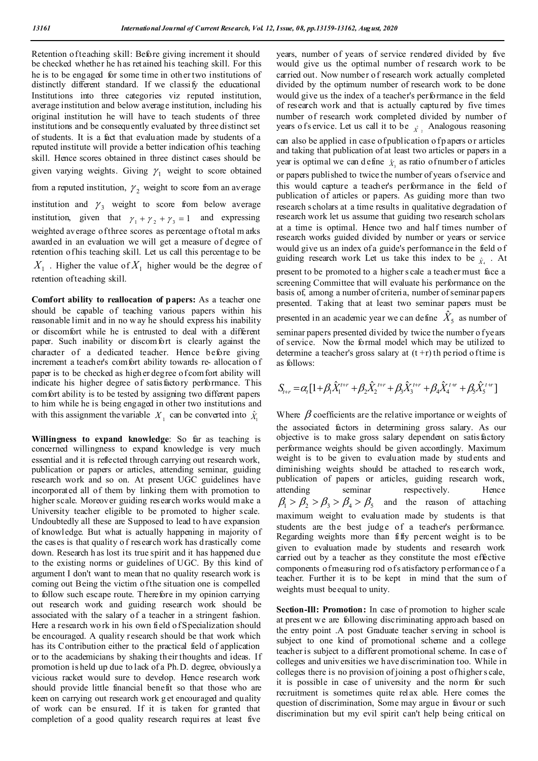Retention of teaching skill: Before giving increment it should be checked whether he has retained his teaching skill. For this he is to be engaged for some time in other two institutions of distinctly different standard. If we classify the educational Institutions into three categories viz reputed institution, average institution and below average institution, including his original institution he will have to teach students of three institutions and be consequently evaluated by three distinct set of students. It is a fact that evaluation made by students of a reputed institute will provide a better indication of his teaching skill. Hence scores obtained in three distinct cases should be given varying weights. Giving  $\gamma_1$  weight to score obtained from a reputed institution,  $\gamma_2$  weight to score from an average institution and  $\gamma_3$  weight to score from below average institution, given that  $\gamma_1 + \gamma_2 + \gamma_3 = 1$  and expressing weighted average of three scores as percentage of total m arks awarded in an evaluation we will get a measure of degree of retention of his teaching skill. Let us call this percentage to be  $X_1$ . Higher the value of  $X_1$  higher would be the degree of retention of teaching skill.

**Comfort ability to reallocation of papers:** As a teacher one should be capable of teaching various papers within his reasonable limit and in no w ay he should express his inability or discomfort while he is entrusted to deal with a different paper. Such inability or discomfort is clearly against the character of a dedicated teacher. Hence before giving increment a teacher's comfort ability towards re- allocation o f paper is to be checked as higher degree of com fort ability will indicate his higher degree of satisfactory performance. This comfort ability is to be tested by assigning two different papers to him while he is being engaged in other two institutions and with this assignment the variable  $X_1$  can be converted into  $\hat{X}_1$ 

**Willingness to expand knowledge**: So far as teaching is concerned willingness to expand knowledge is very much essential and it is reflected through carrying out research work, publication or papers or articles, attending seminar, guiding research work and so on. At present UGC guidelines have incorporated all of them by linking them with promotion to higher scale. Moreover guiding research works would make a University teacher eligible to be promoted to higher scale. Undoubtedly all these are Supposed to lead to h ave expansion of knowledge. But what is actually happening in majority of the cases is that quality o f research work has d rastically come down. Research h as lost its true spirit and it has happened due to the existing norms or guidelines of UGC. By this kind of argument I don't want to mean that no quality research work is coming out Being the victim of the situation one is compelled to follow such escape route. Therefore in my opinion carrying out research work and guiding research work should be associated with the salary of a teacher in a stringent fashion. Here a research work in his own field of Specialization should be encouraged. A quality research should be that work which has its Contribution either to the practical field of application or to the academicians by shaking their thoughts and ideas. If promotion is held up due to lack of a Ph.D. degree, obviously a vicious racket would sure to develop. Hence research work should provide little financial benefit so that those who are keen on carrying out research work g et encouraged and quality of work can be ensured. If it is taken for granted that completion of a good quality research requires at least five

years, number of years of service rendered divided by five would give us the optimal number of research work to be carried out. Now number of research work actually completed divided by the optimum number of research work to be done would give us the index of a teacher's performance in the field of research work and that is actually captured by five times number of research work completed divided by number of years o fs ervice. Let us call it to be  $\chi^2$  Analogous reasoning

can also be applied in case of publication of p apers or articles and taking that publication of at least two articles or papers in a year is optimal we can define  $\hat{X}_i$  as ratio of number of articles

or papers published to twice the number of years of service and this would capture a teacher's performance in the field of publication of articles or papers. As guiding more than two research scholars at a time results in qualitative degradation of research work let us assume that guiding two research scholars at a time is optimal. Hence two and half times number of research works guided divided by number or years or service would give us an index of a guide's performance in the field o f guiding research work Let us take this index to be  $\hat{x}$ . At

present to be promoted to a higher s cale a teacher must face a screening Committee that will evaluate his performance on the basis of, among a number of criteria, number of seminar papers presented. Taking that at least two seminar papers must be presented in an academic year we can define  $\hat{X}_5$  as number of seminar papers presented divided by twice the number o f years of service. Now the formal model which may be utilized to determine a teacher's gross salary at  $(t + r)$  th period o f time is as follows:

$$
S_{t+r} = \alpha_t [1 + \beta_1 \hat{X}_1^{t+r} + \beta_2 \hat{X}_2^{t+r} + \beta_3 \hat{X}_3^{t+r} + \beta_4 \hat{X}_4^{t+r} + \beta_5 \hat{X}_5^{t+r}]
$$

Where  $\beta$  coefficients are the relative importance or weights of the associated factors in determining gross salary. As our objective is to make gross salary dependent on satisfactory performance weights should be given accordingly. Maximum weight is to be given to evaluation made by stud ents and diminishing weights should be attached to research work, publication of papers or articles, guiding research work, attending seminar respectively. Hence  $\beta_1 > \beta_2 > \beta_3 > \beta_4 > \beta_5$  and the reason of attaching maximum weight to evaluation made by students is that students are the best judge of a teacher's performance. Regarding weights more than fifty percent weight is to be given to evaluation made by students and research work carried out by a teacher as they constitute the most effective components of measuring rod of s atisfactory p erformance o f a teacher. Further it is to be kept in mind that the sum of weights must be equal to unity.

**Section-Ill: Promotion:** In case of promotion to higher scale at present we are following discriminating approach based on the entry point .A post Graduate teacher serving in school is subject to one kind of promotional scheme and a college teacher is subject to a different promotional scheme. In case of colleges and univ ersities we have discrimination too. While in colleges there is no provision of joining a post of higher s cale, it is possible in case of university and the norm for such recruitment is sometimes quite relax able. Here comes the question of discrimination, Some may argue in favour or such discrimination but my evil spirit can't help being critical on